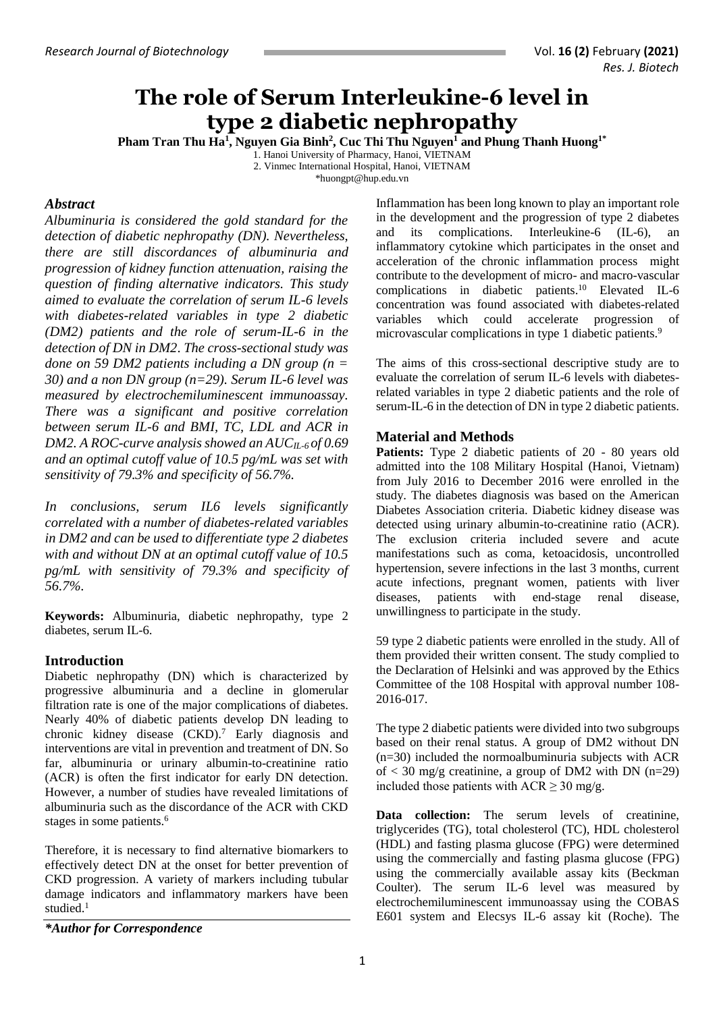# **The role of Serum Interleukine-6 level in type 2 diabetic nephropathy**

**Pham Tran Thu Ha<sup>1</sup> , Nguyen Gia Binh<sup>2</sup> , Cuc Thi Thu Nguyen<sup>1</sup> and Phung Thanh Huong1\***

1. Hanoi University of Pharmacy, Hanoi, VIETNAM

2. Vinmec International Hospital, Hanoi, VIETNAM

[\\*huongpt@hup.edu.vn](mailto:huongpt@hup.edu.vn)

### *Abstract*

*Albuminuria is considered the gold standard for the detection of diabetic nephropathy (DN). Nevertheless, there are still discordances of albuminuria and progression of kidney function attenuation, raising the question of finding alternative indicators. This study aimed to evaluate the correlation of serum IL-6 levels with diabetes-related variables in type 2 diabetic (DM2) patients and the role of serum-IL-6 in the detection of DN in DM2*. *The cross-sectional study was done on 59 DM2 patients including a DN group (n = 30) and a non DN group (n=29). Serum IL-6 level was measured by electrochemiluminescent immunoassay. There was a significant and positive correlation between serum IL-6 and BMI, TC, LDL and ACR in DM2. A ROC-curve analysis showed an AUCIL-6 of 0.69 and an optimal cutoff value of 10.5 pg/mL was set with sensitivity of 79.3% and specificity of 56.7%.* 

*In conclusions, serum IL6 levels significantly correlated with a number of diabetes-related variables in DM2 and can be used to differentiate type 2 diabetes with and without DN at an optimal cutoff value of 10.5 pg/mL with sensitivity of 79.3% and specificity of 56.7%.*

**Keywords:** Albuminuria, diabetic nephropathy, type 2 diabetes, serum IL-6.

## **Introduction**

Diabetic nephropathy (DN) which is characterized by progressive albuminuria and a decline in glomerular filtration rate is one of the major complications of diabetes. Nearly 40% of diabetic patients develop DN leading to chronic kidney disease (CKD). <sup>7</sup> Early diagnosis and interventions are vital in prevention and treatment of DN. So far, albuminuria or urinary albumin-to-creatinine ratio (ACR) is often the first indicator for early DN detection. However, a number of studies have revealed limitations of albuminuria such as the discordance of the ACR with CKD stages in some patients. 6

Therefore, it is necessary to find alternative biomarkers to effectively detect DN at the onset for better prevention of CKD progression. A variety of markers including tubular damage indicators and inflammatory markers have been studied. 1

*\*Author for Correspondence*

Inflammation has been long known to play an important role in the development and the progression of type 2 diabetes and its complications. Interleukine-6 (IL-6), an inflammatory cytokine which participates in the onset and acceleration of the chronic inflammation process might contribute to the development of micro- and macro-vascular complications in diabetic patients. <sup>10</sup> Elevated IL-6 concentration was found associated with diabetes-related variables which could accelerate progression of microvascular complications in type 1 diabetic patients.<sup>9</sup>

The aims of this cross-sectional descriptive study are to evaluate the correlation of serum IL-6 levels with diabetesrelated variables in type 2 diabetic patients and the role of serum-IL-6 in the detection of DN in type 2 diabetic patients.

#### **Material and Methods**

**Patients:** Type 2 diabetic patients of 20 - 80 years old admitted into the 108 Military Hospital (Hanoi, Vietnam) from July 2016 to December 2016 were enrolled in the study. The diabetes diagnosis was based on the American Diabetes Association criteria. Diabetic kidney disease was detected using urinary albumin-to-creatinine ratio (ACR). The exclusion criteria included severe and acute manifestations such as coma, ketoacidosis, uncontrolled hypertension, severe infections in the last 3 months, current acute infections, pregnant women, patients with liver diseases, patients with end-stage renal disease, unwillingness to participate in the study.

59 type 2 diabetic patients were enrolled in the study. All of them provided their written consent. The study complied to the Declaration of Helsinki and was approved by the Ethics Committee of the 108 Hospital with approval number 108- 2016-017.

The type 2 diabetic patients were divided into two subgroups based on their renal status. A group of DM2 without DN (n=30) included the normoalbuminuria subjects with ACR of  $<$  30 mg/g creatinine, a group of DM2 with DN (n=29) included those patients with  $ACR \ge 30$  mg/g.

**Data collection:** The serum levels of creatinine, triglycerides (TG), total cholesterol (TC), HDL cholesterol (HDL) and fasting plasma glucose (FPG) were determined using the commercially and fasting plasma glucose (FPG) using the commercially available assay kits (Beckman Coulter). The serum IL-6 level was measured by electrochemiluminescent immunoassay using the COBAS E601 system and Elecsys IL-6 assay kit (Roche). The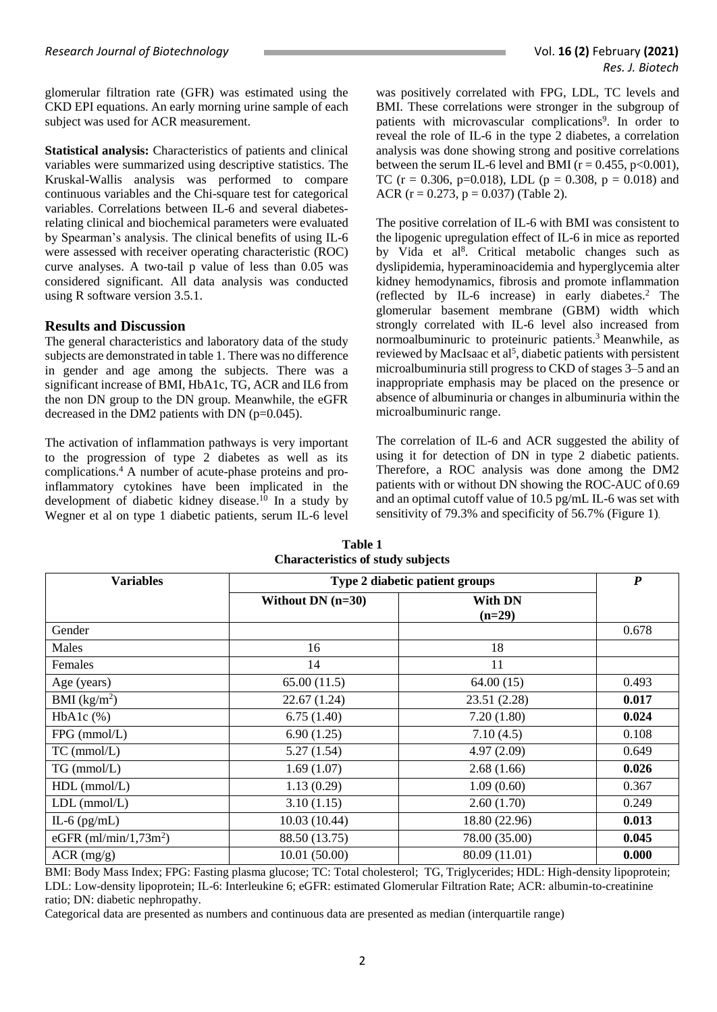glomerular filtration rate (GFR) was estimated using the CKD EPI equations. An early morning urine sample of each subject was used for ACR measurement.

**Statistical analysis:** Characteristics of patients and clinical variables were summarized using descriptive statistics. The Kruskal-Wallis analysis was performed to compare continuous variables and the Chi-square test for categorical variables. Correlations between IL-6 and several diabetesrelating clinical and biochemical parameters were evaluated by Spearman's analysis. The clinical benefits of using IL-6 were assessed with receiver operating characteristic (ROC) curve analyses. A two-tail p value of less than 0.05 was considered significant. All data analysis was conducted using R software version 3.5.1.

#### **Results and Discussion**

The general characteristics and laboratory data of the study subjects are demonstrated in table 1. There was no difference in gender and age among the subjects. There was a significant increase of BMI, HbA1c, TG, ACR and IL6 from the non DN group to the DN group. Meanwhile, the eGFR decreased in the DM2 patients with DN (p=0.045).

The activation of inflammation pathways is very important to the progression of type 2 diabetes as well as its complications. <sup>4</sup> A number of acute-phase proteins and proinflammatory cytokines have been implicated in the development of diabetic kidney disease.<sup>10</sup> In a study by Wegner et al on type 1 diabetic patients, serum IL-6 level

was positively correlated with FPG, LDL, TC levels and BMI. These correlations were stronger in the subgroup of patients with microvascular complications<sup>9</sup>. In order to reveal the role of IL-6 in the type 2 diabetes, a correlation analysis was done showing strong and positive correlations between the serum IL-6 level and BMI ( $r = 0.455$ ,  $p < 0.001$ ), TC (r = 0.306, p=0.018), LDL (p = 0.308, p = 0.018) and ACR ( $r = 0.273$ ,  $p = 0.037$ ) (Table 2).

The positive correlation of IL-6 with BMI was consistent to the lipogenic upregulation effect of IL-6 in mice as reported by Vida et al<sup>8</sup>. Critical metabolic changes such as dyslipidemia, hyperaminoacidemia and hyperglycemia alter kidney hemodynamics, fibrosis and promote inflammation (reflected by IL-6 increase) in early diabetes. <sup>2</sup> The glomerular basement membrane (GBM) width which strongly correlated with IL-6 level also increased from normoalbuminuric to proteinuric patients.<sup>3</sup> Meanwhile, as reviewed by MacIsaac et al<sup>5</sup>, diabetic patients with persistent microalbuminuria still progress to CKD of stages 3–5 and an inappropriate emphasis may be placed on the presence or absence of albuminuria or changes in albuminuria within the microalbuminuric range.

The correlation of IL-6 and ACR suggested the ability of using it for detection of DN in type 2 diabetic patients. Therefore, a ROC analysis was done among the DM2 patients with or without DN showing the ROC-AUC of 0.69 and an optimal cutoff value of 10.5 pg/mL IL-6 was set with sensitivity of 79.3% and specificity of 56.7% (Figure 1).

| <b>Variables</b>         | Type 2 diabetic patient groups |                            | $\boldsymbol{P}$ |
|--------------------------|--------------------------------|----------------------------|------------------|
|                          | Without DN $(n=30)$            | <b>With DN</b><br>$(n=29)$ |                  |
| Gender                   |                                |                            | 0.678            |
| Males                    | 16                             | 18                         |                  |
| Females                  | 14                             | 11                         |                  |
| Age (years)              | 65.00(11.5)                    | 64.00(15)                  | 0.493            |
| BMI (kg/m <sup>2</sup> ) | 22.67(1.24)                    | 23.51 (2.28)               | 0.017            |
| $HbA1c$ $(\%)$           | 6.75(1.40)                     | 7.20(1.80)                 | 0.024            |
| FPG (mmol/L)             | 6.90(1.25)                     | 7.10(4.5)                  | 0.108            |
| $TC$ (mmol/ $L$ )        | 5.27(1.54)                     | 4.97(2.09)                 | 0.649            |
| $TG$ (mmol/L)            | 1.69(1.07)                     | 2.68(1.66)                 | 0.026            |
| $HDL$ (mmol/L)           | 1.13(0.29)                     | 1.09(0.60)                 | 0.367            |
| $LDL$ (mmol/ $L$ )       | 3.10(1.15)                     | 2.60(1.70)                 | 0.249            |
| IL-6 $(pg/mL)$           | 10.03(10.44)                   | 18.80 (22.96)              | 0.013            |
| eGFR $(ml/min/1,73m2)$   | 88.50 (13.75)                  | 78.00 (35.00)              | 0.045            |
| $ACR$ (mg/g)             | 10.01(50.00)                   | 80.09 (11.01)              | 0.000            |

**Table 1 Characteristics of study subjects**

BMI: Body Mass Index; FPG: Fasting plasma glucose; TC: Total cholesterol; TG, Triglycerides; HDL: High-density lipoprotein; LDL: Low-density lipoprotein; IL-6: Interleukine 6; eGFR: estimated Glomerular Filtration Rate; ACR: albumin-to-creatinine ratio; DN: diabetic nephropathy.

Categorical data are presented as numbers and continuous data are presented as median (interquartile range)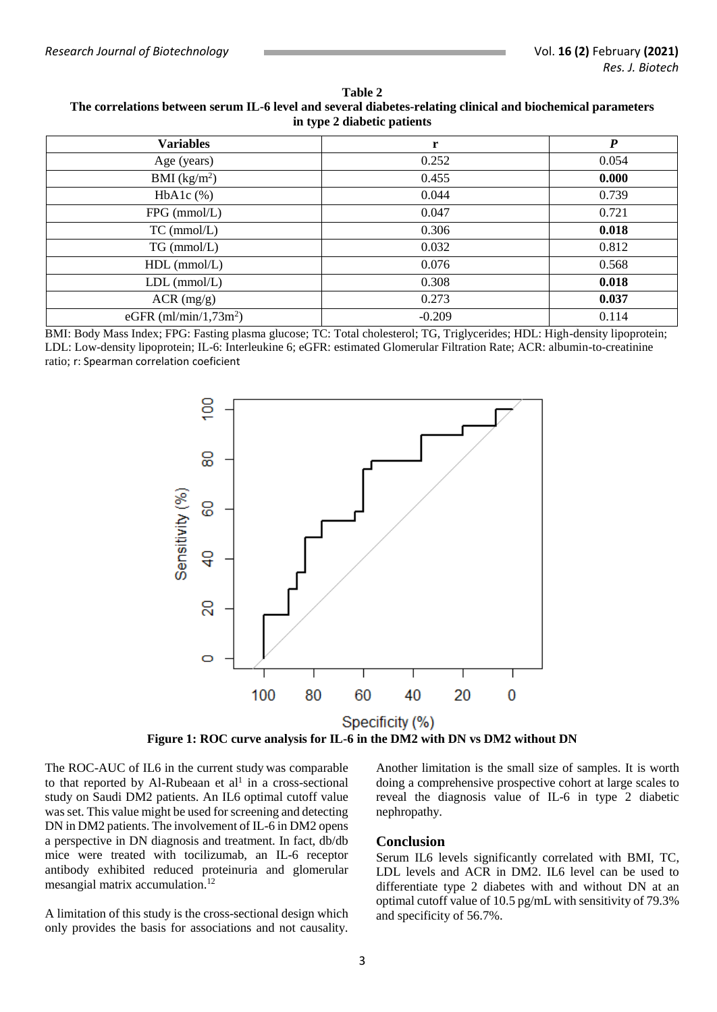**Table 2 The correlations between serum IL-6 level and several diabetes-relating clinical and biochemical parameters in type 2 diabetic patients**

| <b>Variables</b>         | r        | $\boldsymbol{P}$ |
|--------------------------|----------|------------------|
| Age (years)              | 0.252    | 0.054            |
| BMI (kg/m <sup>2</sup> ) | 0.455    | 0.000            |
| $HbA1c$ $%$              | 0.044    | 0.739            |
| $FPG$ (mmol/L)           | 0.047    | 0.721            |
| $TC$ (mmol/L)            | 0.306    | 0.018            |
| $TG \, (mmol/L)$         | 0.032    | 0.812            |
| $HDL$ (mmol/L)           | 0.076    | 0.568            |
| $LDL$ (mmol/ $L$ )       | 0.308    | 0.018            |
| $ACR$ (mg/g)             | 0.273    | 0.037            |
| eGFR $(ml/min/1,73m2)$   | $-0.209$ | 0.114            |

BMI: Body Mass Index; FPG: Fasting plasma glucose; TC: Total cholesterol; TG, Triglycerides; HDL: High-density lipoprotein; LDL: Low-density lipoprotein; IL-6: Interleukine 6; eGFR: estimated Glomerular Filtration Rate; ACR: albumin-to-creatinine ratio; r: Spearman correlation coeficient



**Figure 1: ROC curve analysis for IL-6 in the DM2 with DN vs DM2 without DN**

The ROC-AUC of IL6 in the current study was comparable to that reported by Al-Rubeaan et  $al<sup>1</sup>$  in a cross-sectional study on Saudi DM2 patients. An IL6 optimal cutoff value was set. This value might be used for screening and detecting DN in DM2 patients. The involvement of IL-6 in DM2 opens a perspective in DN diagnosis and treatment. In fact, db/db mice were treated with tocilizumab, an IL-6 receptor antibody exhibited reduced proteinuria and glomerular mesangial matrix accumulation. 12

A limitation of this study is the cross-sectional design which only provides the basis for associations and not causality.

Another limitation is the small size of samples. It is worth doing a comprehensive prospective cohort at large scales to reveal the diagnosis value of IL-6 in type 2 diabetic nephropathy.

#### **Conclusion**

Serum IL6 levels significantly correlated with BMI, TC, LDL levels and ACR in DM2. IL6 level can be used to differentiate type 2 diabetes with and without DN at an optimal cutoff value of 10.5 pg/mL with sensitivity of 79.3% and specificity of 56.7%.